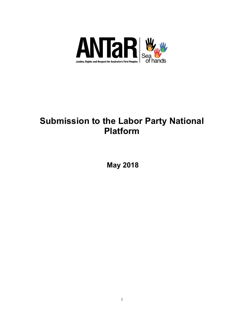

# **Submission to the Labor Party National Platform**

**May 2018**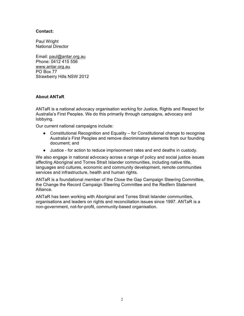## **Contact:**

Paul Wright National Director

Email: paul@antar.org.au Phone: 0412 415 556 www.antar.org.au PO Box 77 Strawberry Hills NSW 2012

# **About ANTaR**

ANTaR is a national advocacy organisation working for Justice, Rights and Respect for Australia's First Peoples. We do this primarily through campaigns, advocacy and lobbying.

Our current national campaigns include:

- Constitutional Recognition and Equality for Constitutional change to recognise Australia's First Peoples and remove discriminatory elements from our founding document; and
- Justice for action to reduce imprisonment rates and end deaths in custody.

We also engage in national advocacy across a range of policy and social justice issues affecting Aboriginal and Torres Strait Islander communities, including native title, languages and cultures, economic and community development, remote communities services and infrastructure, health and human rights.

ANTaR is a foundational member of the Close the Gap Campaign Steering Committee, the Change the Record Campaign Steering Committee and the Redfern Statement Alliance.

ANTaR has been working with Aboriginal and Torres Strait Islander communities, organisations and leaders on rights and reconciliation issues since 1997. ANTaR is a non-government, not-for-profit, community-based organisation.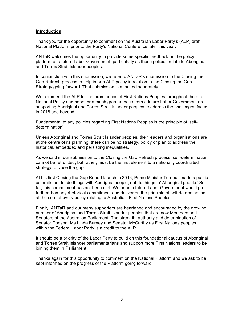## **Introduction**

Thank you for the opportunity to comment on the Australian Labor Party's (ALP) draft National Platform prior to the Party's National Conference later this year.

ANTaR welcomes the opportunity to provide some specific feedback on the policy platform of a future Labor Government, particularly as those policies relate to Aboriginal and Torres Strait Islander peoples.

In conjunction with this submission, we refer to ANTaR's submission to the Closing the Gap Refresh process to help inform ALP policy in relation to the Closing the Gap Strategy going forward. That submission is attached separately.

We commend the ALP for the prominence of First Nations Peoples throughout the draft National Policy and hope for a much greater focus from a future Labor Government on supporting Aboriginal and Torres Strait Islander peoples to address the challenges faced in 2018 and beyond.

Fundamental to any policies regarding First Nations Peoples is the principle of 'selfdetermination'.

Unless Aboriginal and Torres Strait Islander peoples, their leaders and organisations are at the centre of its planning, there can be no strategy, policy or plan to address the historical, embedded and persisting inequalities.

As we said in our submission to the Closing the Gap Refresh process, self-determination cannot be retrofitted, but rather, must be the first element to a nationally coordinated strategy to close the gap.

At his first Closing the Gap Report launch in 2016, Prime Minister Turnbull made a public commitment to 'do things with Aborignal people, not do things to' Aboriginal people. So far, this commitment has not been met. We hope a future Labor Government would go further than any rhetorical commitment and deliver on the principle of self-determination at the core of every policy relating to Australia's First Nations Peoples.

Finally, ANTaR and our many supporters are heartened and encouraged by the growing number of Aboriginal and Torres Strait Islander peoples that are now Members and Senators of the Australian Parliament. The strength, authority and determination of Senator Dodson, Ms Linda Burney and Senator McCarthy as First Nations peoples within the Federal Labor Party is a credit to the ALP.

It should be a priority of the Labor Party to build on this foundational caucus of Aboriginal and Torres Strait Islander parliamentarians and support more First Nations leaders to be joining them in Parliament.

Thanks again for this opportunity to comment on the National Platform and we ask to be kept informed on the progress of the Platform going forward.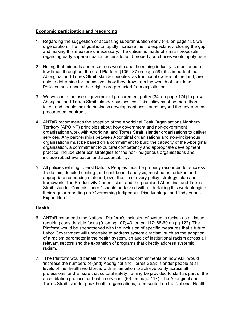## **Economic participation and resourcing**

- 1. Regarding the suggestion of accessing superannuation early (44. on page 15), we urge caution. The first goal is to rapidly increase the life expectancy, closing the gap and making this measure unnecessary. The criticisms made of similar proposals regarding early superannuation access to fund property purchases would apply here.
- 2. Noting that minerals and resources wealth and the mining industry is mentioned a few times throughout the draft Platform (135,137 on page 58), it is important that Aboriginal and Torres Strait Islander peoples, as traditional owners of the land, are able to determine for themselves how they draw from the wealth of their land. Policies must ensure their rights are protected from exploitation.
- 3. We welcome the use of government procurement policy (34. on page 174) to grow Aboriginal and Torres Strait Islander businesses. This policy must be more than token and should include business development assistance beyond the government procurement contracts.
- 4. ANTaR recommends the adoption of the Aboriginal Peak Organisations Northern Territory (APO NT) principles about how government and non-government organisations work with Aboriginal and Torres Strait Islander organisations to deliver services. Any partnerships between Aboriginal organisations and non-Indigenous organisations must be based on a commitment to build the capacity of the Aboriginal organisation, a commitment to cultural competency and appropriate development practice, include clear exit strategies for the non-Indigenous organisations and include robust evaluation and accountability. $\mathbb{I}$
- 5. All policies relating to First Nations Peoples must be properly resourced for success. To do this, detailed costing (and cost-benefit analysis) must be undertaken and appropriate resourcing matched, over the life of every policy, strategy, plan and framework. The Productivity Commission, and the promised Aboriginal and Torres Strait Islander Commissioner,<sup>iii</sup> should be tasked with undertaking this work alongide their regular reporting on 'Overcoming Indigenous Disadvantage' and 'Indigenous Expenditure'.<sup>iv v</sup>

# **Health**

- 6. ANTaR commends the National Platform's inclusion of systemic racism as an issue requiring considerable focus (9. on pg 107; 43. on pg 117; 68-69 on pg 122). The Platform would be strengthened with the inclusion of specific measures that a future Labor Government will undertake to address systemic racism, such as the adoption of a racism barometer in the health system, an audit of institutional racism across all relevant sectors and the expansion of programs that directly address systemic racism.
- 7. The Platform would benefit from some specific commitments on how ALP would 'increase the numbers of {and} Aboriginal and Torres Strait Islander people at all levels of the health workforce, with an ambition to achieve parity across all professions; and Ensure that cultural safety training be provided to staff as part of the accreditation process for health services.' (56. on page 117). The Aboriginal and Torres Strait Islander peak health organisations, represented on the National Health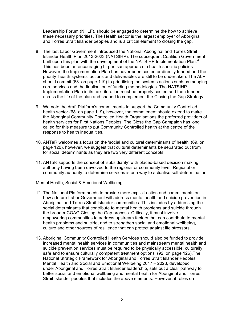Leadership Forum (NHLF), should be engaged to determine the how to achieve these necessary priorities. The Health sector is the largest employer of Aboriginal and Torres Strait Islander peoples and is a critical element to closing the gap.

- 8. The last Labor Government introduced the National Aboriginal and Torres Strait Islander Health Plan 2013-2023 (NATSIHP). The subsequent Coalition Government built upon this plan with the development of the NATSIHP Implementation Plan.<sup>vi</sup> This has been an encouraging bi-partisan approach to health specific policies. However, the Implementation Plan has never been costed or directly funded and the priority 'health systems' actions and deliverables are still to be undertaken. The ALP should commit (68. on page 119) to prioritising the systems actions such as mapping core services and the finalisation of funding methodologies. The NATSIHP Implementation Plan in its next iteration must be properly costed and then funded across the life of the plan and shaped to complement the Closing the Gap Strategy.
- 9. We note the draft Platform's commitments to support the Community Controlled health sector (68. on page 119), however, the commitment should extend to make the Aboriginal Community Controlled Health Organisations the preferred providers of health services for First Nations Peoples. The Close the Gap Campaign has long called for this measure to put Community Controlled health at the centre of the response to health inequalities.
- 10. ANTaR welcomes a focus on the 'social and cultural determinants of health' (69. on page 120), however, we suggest that cultural determinants be separated out from for social determinants as they are two very different concepts.
- 11. ANTaR supports the concept of 'subsidiarity' with placed-based decision making authority having been devolved to the regional or community level. Regional or community authority to determine services is one way to actualise self-determination.

# Mental Health, Social & Emotional Wellbeing

- 12. The National Platform needs to provide more explicit action and commitments on how a future Labor Government will address mental health and suicide prevention in Aboriginal and Torres Strait Islander communities. This includes by addressing the social determinants that contribute to mental health problems and suicide through the broader COAG Closing the Gap process. Critically, it must involve empowering communities to address upstream factors that can contribute to mental health problems and suicide, and to strengthen social and emotional wellbeing, culture and other sources of resilience that can protect against life stressors.
- 13. Aboriginal Community Controlled Health Services should also be funded to provide increased mental health services in communities and mainstream mental health and suicide prevention services must be required to be physically accessible, culturally safe and to ensure culturally competent treatment options (92. on page 126).The National Strategic Framework for Aboriginal and Torres Strait Islander Peoples' Mental Health and Social and Emotional Wellbeing 2017 – 2023, developed under Aboriginal and Torres Strait Islander leadership, sets out a clear pathway to better social and emotional wellbeing and mental health for Aboriginal and Torres Strait Islander peoples that includes the above elements. However, it relies on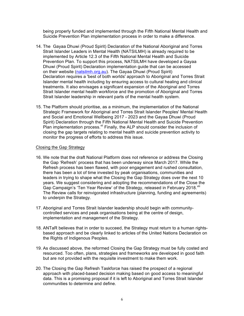being properly funded and implemented through the Fifth National Mental Health and Suicide Prevention Plan implementation process in order to make a difference.

- 14. The Gayaa Dhuwi (Proud Spirit) Declaration of the National Aboriginal and Torres Strait Islander Leaders in Mental Health (NATSILMH) is already required to be implemented by Article 12.3 of the Fifth National Mental Health and Suicide Prevention Plan. To support this process, NATSILMH have developed a Gayaa Dhuwi (Proud Spirit) Declaration implementation guide that can be accessed on their website (natsilmh.org.au). The Gayaa Dhuwi (Proud Spirit) Declaration requires a 'best of both worlds' approach to Aboriginal and Torres Strait Islander mental health including by ensuring access to cultural healing and clinical treatments. It also envisages a significant expansion of the Aboriginal and Torres Strait Islander mental health workforce and the promotion of Aboriginal and Torres Strait Islander leadership in relevant parts of the mental health system.
- 15. The Platform should prioritise, as a minimum, the implementation of the National Strategic Framework for Aboriginal and Torres Strait Islander Peoples' Mental Health and Social and Emotional Wellbeing 2017 - 2023 and the Gayaa Dhuwi (Proud Spirit) Declaration through the Fifth National Mental Health and Suicide Prevention Plan implementation process.<sup>vii</sup> Finally, the ALP should consider the inclusion of closing the gap targets relating to mental health and suicide prevention activity to monitor the progress of efforts to address this issue.

#### Closing the Gap Strategy

- 16. We note that the draft National Platform does not reference or address the Closing the Gap 'Refresh' process that has been underway since March 2017. While the Refresh process has been flawed, with poor engagement and rushed consultation, there has been a lot of time invested by peak organisations, communities and leaders in trying to shape what the Closing the Gap Strategy does over the next 10 years. We suggest considering and adopting the recommendations of the Close the Gap Campaign's 'Ten Year Review' of the Strategy, released in February 2018. Vill The Review calls for reinvigorated infrastructure (planning, funding and agreements) to underpin the Strategy.
- 17. Aboriginal and Torres Strait Islander leadership should begin with communitycontrolled services and peak organisations being at the centre of design, implementation and management of the Strategy.
- 18. ANTaR believes that in order to succeed, the Strategy must return to a human rightsbased approach and be clearly linked to articles of the United Nations Declaration on the Rights of Indigenous Peoples.
- 19. As discussed above, the reformed Closing the Gap Strategy must be fully costed and resourced. Too often, plans, strategies and frameworks are developed in good faith but are not provided with the requisite investment to make them work.
- 20. The Closing the Gap Refresh Taskforce has raised the prospect of a regional approach with placed-based decision making based on good access to meaningful data. This is a promising proposal if it is left to Aboriginal and Torres Strait Islander communities to determine and define.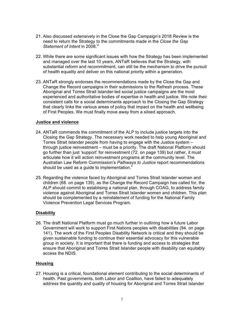- 21. Also discussed extensively in the Close the Gap Campaign's 2018 Review is the need to return the Strategy to the commitments made in the *Close the Gap*  Statement of Intent in 2008.<sup>ix</sup>
- 22. While there are some significant issues with how the Strategy has been implemented and managed over the last 10 years, ANTaR believes that the Strategy, with substantial reform and recommitment, can still be the mechanism to drive the pursuit of health equality and deliver on this national priority within a generation.
- 23. ANTaR strongly endorses the recommendations made by the Close the Gap and Change the Record campaigns in their submissions to the Refresh process. These Aboriginal and Torres Strait Islander-led social justice campaigns are the most experienced and authoritative bodies of expertise in health and justice. We note their consistent calls for a social determinants approach to the Closing the Gap Strategy that clearly links the various areas of policy that impact on the health and wellbeing of First Peoples. We must finally move away from a siloed approach.

## **Justice and violence**

- 24. ANTaR commends the commitment of the ALP to include justice targets into the Closing the Gap Strategy. The necessary work needed to help young Aboriginal and Torres Strait Islander people from having to engage with the Justice system – through justice reinvestment – must be a priority. The draft National Platform should go further than just 'support' for reinvestment (72. on page 139) but rather, it must articulate how it will action reinvestment programs at the community level. The Australian Law Reform Commission's *Pathways to Justice* report recommendations should be used as a guide to implementation. $\check{\cdot}$
- 25. Regarding the violence faced by Aboriginal and Torres Strait Islander women and children (68. on page 139), as the Change the Record Campaign has called for, the ALP should commit to establising a national plan, through COAG, to address family violence against Aboriginal and Torres Strait Islander women and children. This plan should be complemented by a reinstatement of funding for the National Family Violence Prevention Legal Services Program.

## **Disability**

26. The draft National Platform must go much further in outlining how a future Labor Government will work to support First Nations peoples with disabilities (94. on page 141). The work of the First Peoples Disability Network is critical and they should be given sustainable funding to continue their essential advocacy for this vulnerable group in society. It is important that there is funding and access to strategies that ensure that Aboriginal and Torres Strait Islander people with disability can equitably access the NDIS.

## **Housing**

27. Housing is a critical, foundational element contributing to the social determinants of health. Past governments, both Labor and Coaltion, have failed to adequately address the quantity and quality of housing for Aboriginal and Torres Strait Islander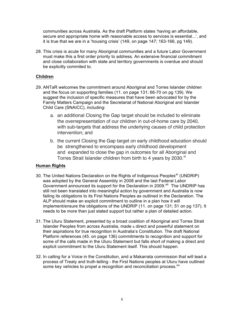communities across Australia. As the draft Platform states 'having an affordable, secure and appropriate home with reasonable access to services is essential...', and it is true that we are in a 'housing crisis' (149, on page 147; 163-166, pg 149).

28. This crisis is acute for many Aboriginal communities and a future Labor Government must make this a first order priority to address. An extensive financial commitment and close collaboration with state and territory governments is overdue and should be explicitly commited to.

# **Children**

- 29. ANTaR welcomes the commitment around Aboriginal and Torres Islander children and the focus on supporting families (11. on page 131; 66-70 on pg 139). We suggest the inclusion of specific measures that have been advocated for by the Family Matters Campaign and the Secretariat of National Aboriginal and Islander Child Care (SNAICC), including:
	- a. an additional Closing the Gap target should be included to eliminate the overrepresentation of our children in out-of-home care by 2040, with sub-targets that address the underlying causes of child protection intervention; and
	- b. the current Closing the Gap target on early childhood education should be strengthened to encompass early childhood development and expanded to close the gap in outcomes for all Aboriginal and Torres Strait Islander children from birth to 4 years by 2030.<sup>xi</sup>

# **Human Rights**

- 30. The United Nations Declaration on the Rights of Indigenous Peoples<sup>xii</sup> (UNDRIP) was adopted by the General Assembly in 2008 and the last Federal Labor Government announced its support for the Declaration in 2009.<sup>xiii</sup> The UNDRIP has still not been translated into meaningful action by government and Australia is now failing its obligations to its First Nations Peoples as outlined in the Declaration. The ALP should make an explicit commitment to outline in a plan how it will implement/ensure the obligations of the UNDRIP (11. on page 131; 51 on pg 137). It needs to be more than just stated support but rather a plan of detailed action.
- 31. The Uluru Statement, presented by a broad coalition of Aboriginal and Torres Strait Islander Peoples from across Australia, made a direct and powerful statement on their aspirations for true recognition in Australia's Constitution. The draft National Platform references (45. on page 136) commitments to recognition and support for some of the calls made in the Uluru Statement but falls short of making a direct and explicit commitment to the Uluru Statement itself. This should happen.
- 32. In calling for a Voice in the Constitution, and a Makarrata commission that will lead a process of Treaty and truth-telling - the First Nations peoples at Uluru have outlined some key vehicles to propel a recognition and reconciliation process. Xiv